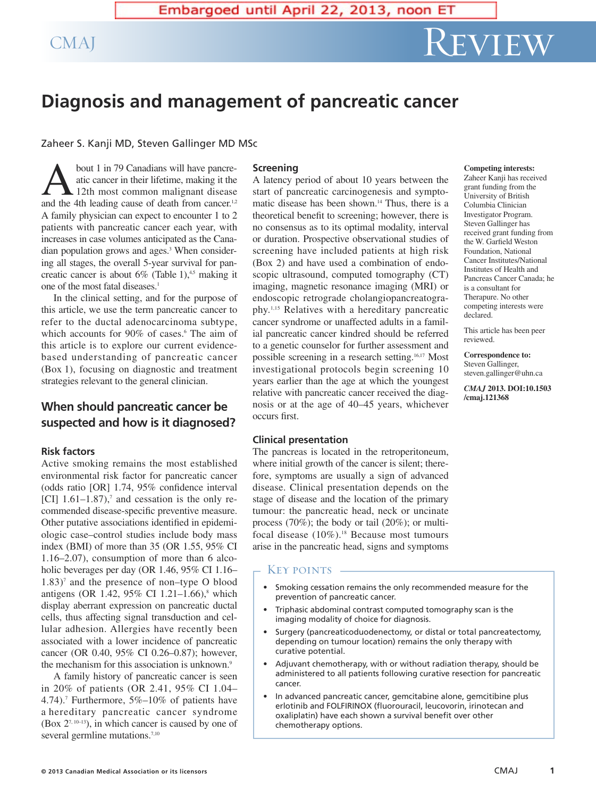# **Diagnosis and management of pancreatic cancer**

Zaheer S. Kanji MD, Steven Gallinger MD MSc

bout 1 in 79 Canadians will have pancreatic cancer in their lifetime, making it the 12th most common malignant disease and the 4th leading cause of death from cancer.<sup>1,2</sup> A family physician can expect to encounter 1 to 2 patients with pancreatic cancer each year, with increases in case volumes anticipated as the Canadian population grows and ages. <sup>3</sup> When considering all stages, the overall 5-year survival for pancreatic cancer is about  $6\%$  (Table 1),<sup>4,5</sup> making it one of the most fatal diseases. 1

In the clinical setting, and for the purpose of this article, we use the term pancreatic cancer to refer to the ductal adenocarcinoma subtype, which accounts for 90% of cases. <sup>6</sup> The aim of this article is to explore our current evidencebased understanding of pancreatic cancer (Box 1), focusing on diagnostic and treatment strategies relevant to the general clinician.

# **When should pancreatic cancer be suspected and how is it diagnosed?**

# **Risk factors**

Active smoking remains the most established environmental risk factor for pancreatic cancer (odds ratio [OR] 1.74, 95% confidence interval [CI]  $1.61-1.87$ ,<sup>7</sup> and cessation is the only recommended disease-specific preventive measure. Other putative associations identified in epidemiologic case–control studies include body mass index (BMI) of more than 35 (OR 1.55, 95% CI 1.16–2.07), consumption of more than 6 alcoholic beverages per day (OR 1.46, 95% CI 1.16–  $1.83$ <sup>7</sup> and the presence of non–type O blood antigens (OR 1.42, 95% CI 1.21–1.66), <sup>8</sup> which display aberrant expression on pancreatic ductal cells, thus affecting signal transduction and cellular adhesion. Allergies have recently been associated with a lower incidence of pancreatic cancer (OR 0.40, 95% CI 0.26–0.87); however, the mechanism for this association is unknown. 9

A family history of pancreatic cancer is seen in 20% of patients (OR 2.41, 95% CI 1.04– 4.74). <sup>7</sup> Furthermore, 5%–10% of patients have a hereditary pancreatic cancer syndrome  $(Box 2<sup>7, 10–13</sup>)$ , in which cancer is caused by one of several germline mutations.<sup>7,10</sup>

### **Screening**

A latency period of about 10 years between the start of pancreatic carcinogenesis and symptomatic disease has been shown. <sup>14</sup> Thus, there is a theoretical benefit to screening; however, there is no consensus as to its optimal modality, interval or duration. Prospective observational studies of screening have included patients at high risk (Box 2) and have used a combination of endoscopic ultrasound, computed tomography (CT) imaging, magnetic resonance imaging (MRI) or endoscopic retrograde cholangiopancreatography. 1,15 Relatives with a hereditary pancreatic cancer syndrome or unaffected adults in a familial pancreatic cancer kindred should be referred to a genetic counselor for further assessment and possible screening in a research setting. 16,17 Most investigational protocols begin screening 10 years earlier than the age at which the youngest relative with pancreatic cancer received the diagnosis or at the age of 40–45 years, whichever occurs first.

# **Clinical presentation**

The pancreas is located in the retroperitoneum, where initial growth of the cancer is silent; therefore, symptoms are usually a sign of advanced disease. Clinical presentation depends on the stage of disease and the location of the primary tumour: the pancreatic head, neck or uncinate process (70%); the body or tail (20%); or multifocal disease (10%). <sup>18</sup> Because most tumours arise in the pancreatic head, signs and symptoms

# · Key points -

- Smoking cessation remains the only recommended measure for the prevention of pancreatic cancer.
- Triphasic abdominal contrast computed tomography scan is the imaging modality of choice for diagnosis.
- Surgery (pancreaticoduodenectomy, or distal or total pancreatectomy, depending on tumour location) remains the only therapy with curative potential.
- Adjuvant chemotherapy, with or without radiation therapy, should be administered to all patients following curative resection for pancreatic cancer.
- In advanced pancreatic cancer, gemcitabine alone, gemcitibine plus erlotinib and FOLFIRINOX (fluorouracil, leucovorin, irinotecan and oxaliplatin) have each shown a survival benefit over other chemotherapy options.

#### **Competing interests:**

Zaheer Kanji has received grant funding from the University of British Columbia Clinician Investigator Program. Steven Gallinger has received grant funding from the W. Garfield Weston Foundation, National Cancer Institutes/National Institutes of Health and Pancreas Cancer Canada; he is a consultant for Therapure. No other competing interests were declared.

This article has been peer reviewed.

**Correspondence to:** Steven Gallinger, steven.gallinger@uhn.ca

*CMAJ* **2013. DOI:10.1503 /cmaj.121368**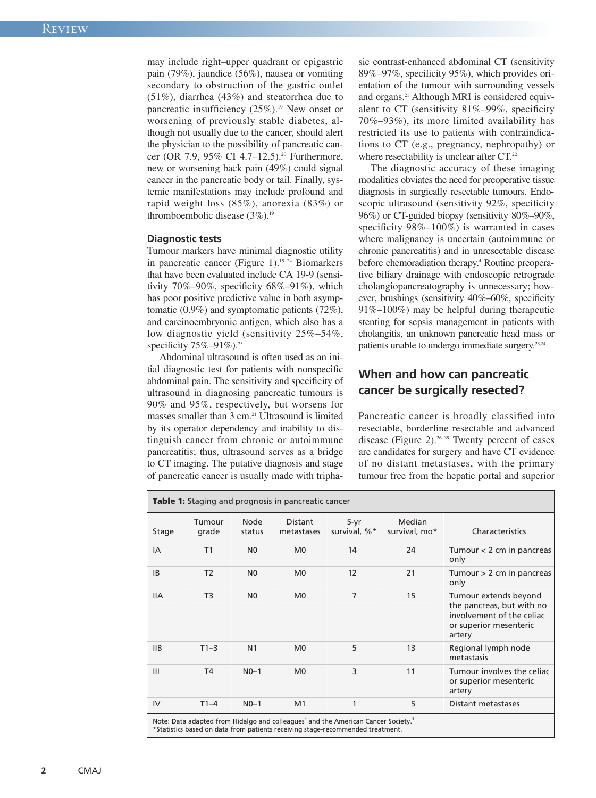may include right–upper quadrant or epigastric pain (79%), jaundice (56%), nausea or vomiting secondary to obstruction of the gastric outlet (51%), diarrhea (43%) and steatorrhea due to pancreatic insufficiency (25%). <sup>19</sup> New onset or worsening of previously stable diabetes, although not usually due to the cancer, should alert the physician to the possibility of pancreatic cancer (OR 7.9, 95% CI 4.7–12.5). <sup>20</sup> Furthermore, new or worsening back pain (49%) could signal cancer in the pancreatic body or tail. Finally, systemic manifestations may include profound and rapid weight loss (85%), anorexia (83%) or thromboembolic disease (3%). 19

#### **Diagnostic tests**

Tumour markers have minimal diagnostic utility in pancreatic cancer (Figure 1). 19–24 Biomarkers that have been evaluated include CA 19-9 (sensitivity 70%–90%, specificity 68%–91%), which has poor positive predictive value in both asymptomatic (0.9%) and symptomatic patients (72%), and carcinoembryonic antigen, which also has a low diagnostic yield (sensitivity 25%–54%, specificity 75%–91%).<sup>25</sup>

Abdominal ultrasound is often used as an initial diagnostic test for patients with nonspecific abdominal pain. The sensitivity and specificity of ultrasound in diagnosing pancreatic tumours is 90% and 95%, respectively, but worsens for masses smaller than 3 cm. <sup>21</sup> Ultrasound is limited by its operator dependency and inability to distinguish cancer from chronic or autoimmune pancreatitis; thus, ultrasound serves as a bridge to CT imaging. The putative diagnosis and stage of pancreatic cancer is usually made with triphasic contrast-enhanced abdominal CT (sensitivity 89%–97%, specificity 95%), which provides orientation of the tumour with surrounding vessels and organs. <sup>21</sup> Although MRI is considered equivalent to CT (sensitivity 81%–99%, specificity 70%–93%), its more limited availability has restricted its use to patients with contraindications to CT (e.g., pregnancy, nephropathy) or where resectability is unclear after CT.<sup>22</sup>

The diagnostic accuracy of these imaging modalities obviates the need for preoperative tissue diagnosis in surgically resectable tumours. Endoscopic ultrasound (sensitivity 92%, specificity 96%) or CT-guided biopsy (sensitivity 80%–90%, specificity 98%–100%) is warranted in cases where malignancy is uncertain (autoimmune or chronic pancreatitis) and in unresectable disease before chemoradiation therapy. <sup>4</sup> Routine preoperative biliary drainage with endoscopic retrograde cholangiopancreatography is unnecessary; however, brushings (sensitivity 40%–60%, specificity 91%–100%) may be helpful during therapeutic stenting for sepsis management in patients with cholangitis, an unknown pancreatic head mass or patients unable to undergo immediate surgery.<sup>23,24</sup>

# **When and how can pancreatic cancer be surgically resected?**

Pancreatic cancer is broadly classified into resectable, borderline resectable and advanced disease (Figure 2). 26–39 Twenty percent of cases are candidates for surgery and have CT evidence of no distant metastases, with the primary tumour free from the hepatic portal and superior

| Stage      | Tumour<br>grade | Node<br>status | Distant<br>metastases | $5-yr$<br>survival, %* | Median<br>survival, mo* | Characteristics                                                                                                     |
|------------|-----------------|----------------|-----------------------|------------------------|-------------------------|---------------------------------------------------------------------------------------------------------------------|
| IA         | T1              | N <sub>0</sub> | M <sub>0</sub>        | 14                     | 24                      | Tumour $<$ 2 cm in pancreas<br>only                                                                                 |
| <b>IB</b>  | T <sub>2</sub>  | N <sub>0</sub> | M <sub>0</sub>        | 12                     | 21                      | Tumour $> 2$ cm in pancreas<br>only                                                                                 |
| <b>IIA</b> | T <sub>3</sub>  | N <sub>0</sub> | M <sub>0</sub>        | $\overline{7}$         | 15                      | Tumour extends beyond<br>the pancreas, but with no<br>involvement of the celiac<br>or superior mesenteric<br>artery |
| <b>IIB</b> | $T1-3$          | N <sub>1</sub> | M <sub>0</sub>        | 5                      | 13                      | Regional lymph node<br>metastasis                                                                                   |
| III        | T <sub>4</sub>  | $N0-1$         | M <sub>0</sub>        | 3                      | 11                      | Tumour involves the celiac<br>or superior mesenteric<br>artery                                                      |
| IV         | $T1-4$          | $N0-1$         | M <sub>1</sub>        | 1                      | 5                       | Distant metastases                                                                                                  |

**2** CMAJ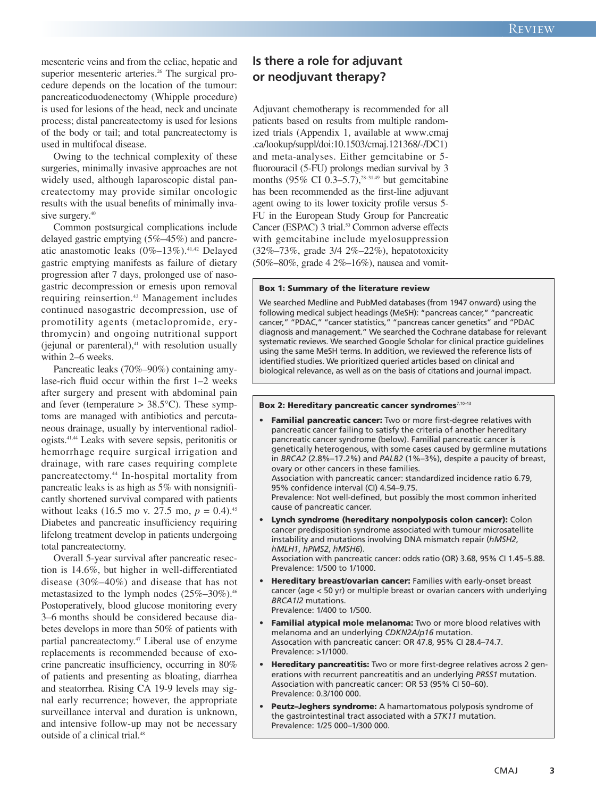mesenteric veins and from the celiac, hepatic and superior mesenteric arteries. <sup>26</sup> The surgical procedure depends on the location of the tumour: pancreaticoduodenectomy (Whipple procedure) is used for lesions of the head, neck and uncinate process; distal pancreatectomy is used for lesions of the body or tail; and total pancreatectomy is used in multifocal disease.

Owing to the technical complexity of these surgeries, minimally invasive approaches are not widely used, although laparoscopic distal pancreatectomy may provide similar oncologic results with the usual benefits of minimally invasive surgery. 40

Common postsurgical complications include delayed gastric emptying (5%–45%) and pancreatic anastomotic leaks (0%–13%). 41,42 Delayed gastric emptying manifests as failure of dietary progression after 7 days, prolonged use of nasogastric decompression or emesis upon removal requiring reinsertion. <sup>43</sup> Management includes continued nasogastric decompression, use of promotility agents (metaclopromide, erythromycin) and ongoing nutritional support (jejunal or parenteral), <sup>41</sup> with resolution usually within 2–6 weeks.

Pancreatic leaks (70%–90%) containing amylase-rich fluid occur within the first 1–2 weeks after surgery and present with abdominal pain and fever (temperature  $> 38.5$ °C). These symptoms are managed with antibiotics and percutaneous drainage, usually by interventional radiologists. 41,44 Leaks with severe sepsis, peritonitis or hemorrhage require surgical irrigation and drainage, with rare cases requiring complete pancreatectomy. <sup>44</sup> In-hospital mortality from pancreatic leaks is as high as 5% with nonsignificantly shortened survival compared with patients without leaks  $(16.5 \text{ mo} \text{ v. } 27.5 \text{ mo}, p = 0.4).^{45}$ Diabetes and pancreatic insufficiency requiring lifelong treatment develop in patients undergoing total pancreatectomy.

Overall 5-year survival after pancreatic resection is 14.6%, but higher in well-differentiated disease (30%–40%) and disease that has not metastasized to the lymph nodes (25%–30%). 46 Postoperatively, blood glucose monitoring every 3–6 months should be considered because diabetes develops in more than 50% of patients with partial pancreatectomy. <sup>47</sup> Liberal use of enzyme replacements is recommended because of exocrine pancreatic insufficiency, occurring in 80% of patients and presenting as bloating, diarrhea and steatorrhea. Rising CA 19-9 levels may signal early recurrence; however, the appropriate surveillance interval and duration is unknown, and intensive follow-up may not be necessary outside of a clinical trial. 48

# **Is there a role for adjuvant or neodjuvant therapy?**

Adjuvant chemotherapy is recommended for all patients based on results from multiple randomized trials (Appendix 1, available at www.cmaj .ca/lookup/suppl/doi:10.1503/cmaj.121368/-/DC1) and meta-analyses. Either gemcitabine or 5 fluorouracil (5-FU) prolongs median survival by 3 months (95% CI 0.3–5.7), 28–31,49 but gemcitabine has been recommended as the first-line adjuvant agent owing to its lower toxicity profile versus 5- FU in the European Study Group for Pancreatic Cancer (ESPAC) 3 trial. <sup>50</sup> Common adverse effects with gemcitabine include myelosuppression (32%–73%, grade 3/4 2%–22%), hepatotoxicity  $(50\% - 80\%$ , grade 4 2\% -16\%), nausea and vomit-

#### **Box 1: Summary of the literature review**

We searched Medline and PubMed databases (from 1947 onward) using the following medical subject headings (MeSH): "pancreas cancer," "pancreatic cancer," "PDAC," "cancer statistics," "pancreas cancer genetics" and "PDAC diagnosis and management." We searched the Cochrane database for relevant systematic reviews. We searched Google Scholar for clinical practice guidelines using the same MeSH terms. In addition, we reviewed the reference lists of identified studies. We prioritized queried articles based on clinical and biological relevance, as well as on the basis of citations and journal impact.

#### **Box 2: Hereditary pancreatic cancer syndromes**7,10–13

- **• Familial pancreatic cancer:** Two or more first-degree relatives with pancreatic cancer failing to satisfy the criteria of another hereditary pancreatic cancer syndrome (below). Familial pancreatic cancer is genetically heterogenous, with some cases caused by germline mutations in *BRCA2* (2.8%–17.2%) and *PALB2* (1%–3%), despite a paucity of breast, ovary or other cancers in these families. Association with pancreatic cancer: standardized incidence ratio 6.79, 95% confidence interval (CI) 4.54–9.75. Prevalence: Not well-defined, but possibly the most common inherited cause of pancreatic cancer.
- **• Lynch syndrome (hereditary nonpolyposis colon cancer):** Colon cancer predisposition syndrome associated with tumour microsatellite instability and mutations involving DNA mismatch repair (*hMSH2*, *hMLH1*, *hPMS2*, *hMSH6*).

Association with pancreatic cancer: odds ratio (OR) 3.68, 95% CI 1.45–5.88. Prevalence: 1/500 to 1/1000.

- **• Hereditary breast/ovarian cancer:** Families with early-onset breast cancer (age < 50 yr) or multiple breast or ovarian cancers with underlying *BRCA1/2* mutations. Prevalence: 1/400 to 1/500.
- **• Familial atypical mole melanoma:** Two or more blood relatives with melanoma and an underlying *CDKN2A/p16* mutation. Assocation with pancreatic cancer: OR 47.8, 95% CI 28.4–74.7. Prevalence: >1/1000.
- **• Hereditary pancreatitis:** Two or more first-degree relatives across 2 generations with recurrent pancreatitis and an underlying *PRSS1* mutation. Association with pancreatic cancer: OR 53 (95% CI 50–60). Prevalence: 0.3/100 000.
- **• Peutz–Jeghers syndrome:** A hamartomatous polyposis syndrome of the gastrointestinal tract associated with a *STK11* mutation. Prevalence: 1/25 000–1/300 000.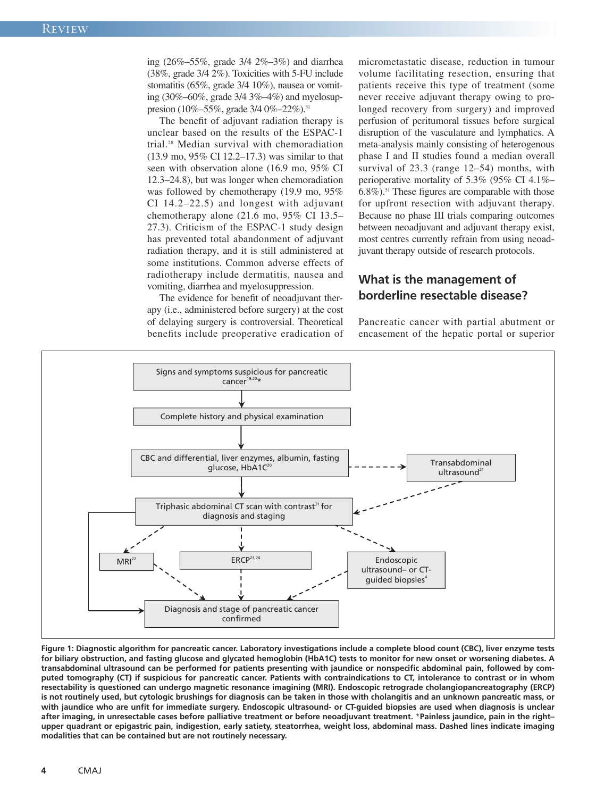ing (26%–55%, grade 3/4 2%–3%) and diarrhea (38%, grade 3/4 2%). Toxicities with 5-FU include stomatitis (65%, grade 3/4 10%), nausea or vomiting (30%–60%, grade 3/4 3%–4%) and myelosuppresion (10%–55%, grade 3/4 0%–22%).<sup>31</sup>

The benefit of adjuvant radiation therapy is unclear based on the results of the ESPAC-1 trial. <sup>28</sup> Median survival with chemoradiation (13.9 mo, 95% CI 12.2–17.3) was similar to that seen with observation alone (16.9 mo, 95% CI 12.3–24.8), but was longer when chemoradiation was followed by chemotherapy (19.9 mo, 95%) CI 14.2–22.5) and longest with adjuvant chemotherapy alone (21.6 mo, 95% CI 13.5– 27.3). Criticism of the ESPAC-1 study design has prevented total abandonment of adjuvant radiation therapy, and it is still administered at some institutions. Common adverse effects of radiotherapy include dermatitis, nausea and vomiting, diarrhea and myelosuppression.

The evidence for benefit of neoadjuvant therapy (i.e., administered before surgery) at the cost of delaying surgery is controversial. Theoretical benefits include preoperative eradication of micrometastatic disease, reduction in tumour volume facilitating resection, ensuring that patients receive this type of treatment (some never receive adjuvant therapy owing to prolonged recovery from surgery) and improved perfusion of peritumoral tissues before surgical disruption of the vasculature and lymphatics. A meta-analysis mainly consisting of heterogenous phase I and II studies found a median overall survival of 23.3 (range 12–54) months, with perioperative mortality of 5.3% (95% CI 4.1%– 6.8%). <sup>51</sup> These figures are comparable with those for upfront resection with adjuvant therapy. Because no phase III trials comparing outcomes between neoadjuvant and adjuvant therapy exist, most centres currently refrain from using neoadjuvant therapy outside of research protocols.

# **What is the management of borderline resectable disease?**

Pancreatic cancer with partial abutment or encasement of the hepatic portal or superior



Figure 1: Diagnostic algorithm for pancreatic cancer. Laboratory investigations include a complete blood count (CBC), liver enzyme tests for biliary obstruction, and fasting glucose and glycated hemoglobin (HbA1C) tests to monitor for new onset or worsening diabetes. A transabdominal ultrasound can be performed for patients presenting with jaundice or nonspecific abdominal pain, followed by computed tomography (CT) if suspicious for pancreatic cancer. Patients with contraindications to CT, intolerance to contrast or in whom **resectability is questioned can undergo magnetic resonance imagining (MRI). Endoscopic retrograde cholangiopancreatography (ERCP)** is not routinely used, but cytologic brushings for diagnosis can be taken in those with cholangitis and an unknown pancreatic mass, or with jaundice who are unfit for immediate surgery. Endoscopic ultrasound- or CT-guided biopsies are used when diagnosis is unclear after imaging, in unresectable cases before palliative treatment or before neoadjuvant treatment. \*Painless jaundice, pain in the rightupper quadrant or epigastric pain, indigestion, early satiety, steatorrhea, weight loss, abdominal mass. Dashed lines indicate imaging **modalities that can be contained but are not routinely necessary.**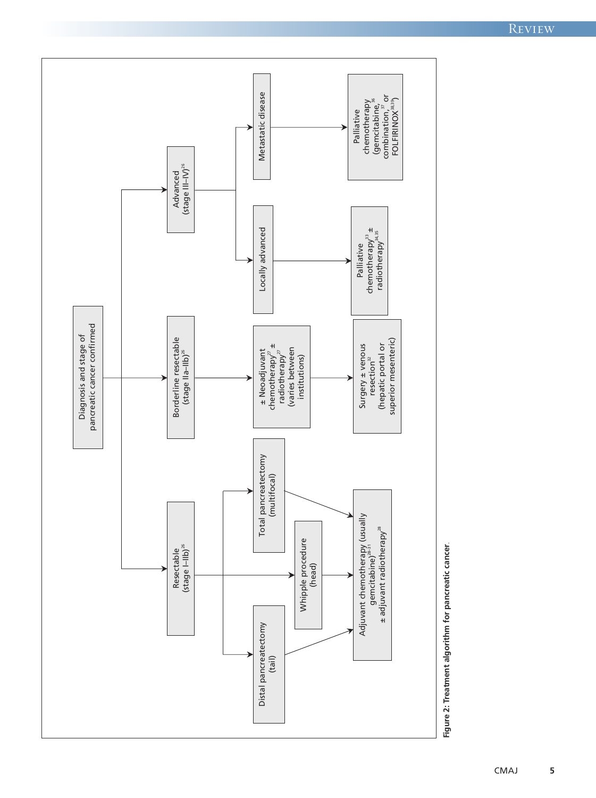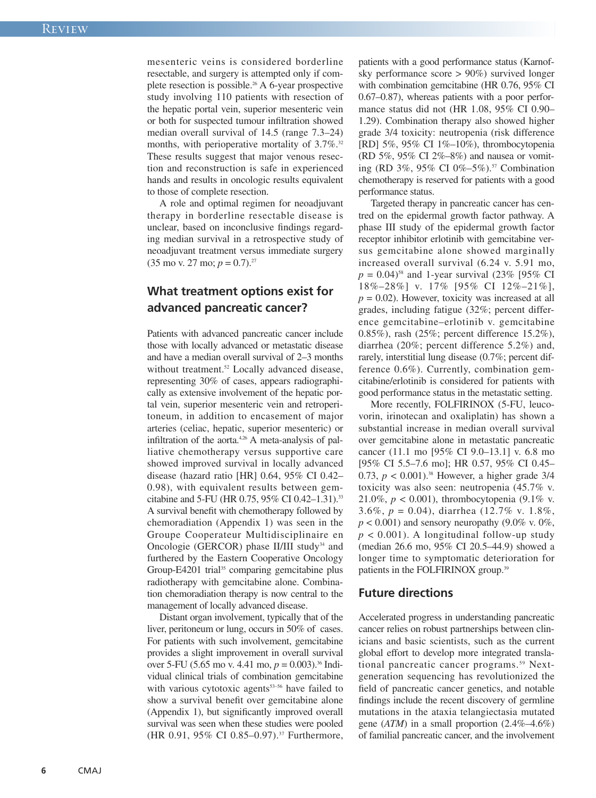mesenteric veins is considered borderline resectable, and surgery is attempted only if complete resection is possible. <sup>26</sup> A 6-year prospective study involving 110 patients with resection of the hepatic portal vein, superior mesenteric vein or both for suspected tumour infiltration showed median overall survival of 14.5 (range 7.3–24) months, with perioperative mortality of 3.7%.<sup>32</sup> These results suggest that major venous resection and reconstruction is safe in experienced hands and results in oncologic results equivalent to those of complete resection.

A role and optimal regimen for neoadjuvant therapy in borderline resectable disease is unclear, based on inconclusive findings regarding median survival in a retrospective study of neoadjuvant treatment versus immediate surgery  $(35 \text{ mo} \text{ v. } 27 \text{ mo}; p = 0.7).$ <sup>27</sup>

# **What treatment options exist for advanced pancreatic cancer?**

Patients with advanced pancreatic cancer include those with locally advanced or metastatic disease and have a median overall survival of 2–3 months without treatment. <sup>52</sup> Locally advanced disease, representing 30% of cases, appears radiographically as extensive involvement of the hepatic portal vein, superior mesenteric vein and retroperitoneum, in addition to encasement of major arteries (celiac, hepatic, superior mesenteric) or infiltration of the aorta.<sup>4,26</sup> A meta-analysis of palliative chemotherapy versus supportive care showed improved survival in locally advanced disease (hazard ratio [HR] 0.64, 95% CI 0.42– 0.98), with equivalent results between gemcitabine and 5-FU (HR 0.75, 95% CI 0.42–1.31). 33 A survival benefit with chemotherapy followed by chemoradiation (Appendix 1) was seen in the Groupe Cooperateur Multidisciplinaire en Oncologie (GERCOR) phase II/III study<sup>34</sup> and furthered by the Eastern Cooperative Oncology Group-E4201 trial <sup>35</sup> comparing gemcitabine plus radiotherapy with gemcitabine alone. Combination chemoradiation therapy is now central to the management of locally advanced disease.

Distant organ involvement, typically that of the liver, peritoneum or lung, occurs in 50% of cases. For patients with such involvement, gemcitabine provides a slight improvement in overall survival over 5-FU (5.65 mo v. 4.41 mo, *p* = 0.003). <sup>36</sup> Individual clinical trials of combination gemcitabine with various cytotoxic agents $53-56$  have failed to show a survival benefit over gemcitabine alone (Appendix 1), but significantly improved overall survival was seen when these studies were pooled (HR 0.91, 95% CI 0.85–0.97). <sup>37</sup> Furthermore, patients with a good performance status (Karnofsky performance score > 90%) survived longer with combination gemcitabine (HR 0.76, 95% CI 0.67–0.87), whereas patients with a poor performance status did not (HR 1.08, 95% CI 0.90– 1.29). Combination therapy also showed higher grade 3/4 toxicity: neutropenia (risk difference [RD] 5%, 95% CI 1%-10%), thrombocytopenia (RD 5%, 95% CI 2%–8%) and nausea or vomiting (RD 3%, 95% CI 0%–5%). <sup>57</sup> Combination chemotherapy is reserved for patients with a good performance status.

Targeted therapy in pancreatic cancer has centred on the epidermal growth factor pathway. A phase III study of the epidermal growth factor receptor inhibitor erlotinib with gemcitabine versus gemcitabine alone showed marginally increased overall survival (6.24 v. 5.91 mo,  $p = 0.04$ <sup>58</sup> and 1-year survival (23% [95% CI 18%–28%] v. 17% [95% CI 12%–21%],  $p = 0.02$ ). However, toxicity was increased at all grades, including fatigue (32%; percent difference gemcitabine–erlotinib v. gemcitabine 0.85%), rash (25%; percent difference 15.2%), diarrhea (20%; percent difference 5.2%) and, rarely, interstitial lung disease (0.7%; percent difference 0.6%). Currently, combination gemcitabine/erlotinib is considered for patients with good performance status in the metastatic setting.

More recently, FOLFIRINOX (5-FU, leucovorin, irinotecan and oxaliplatin) has shown a substantial increase in median overall survival over gemcitabine alone in metastatic pancreatic cancer (11.1 mo [95% CI 9.0–13.1] v. 6.8 mo [95% CI 5.5–7.6 mo]; HR 0.57, 95% CI 0.45– 0.73, *p* < 0.001). <sup>38</sup> However, a higher grade 3/4 toxicity was also seen: neutropenia (45.7% v. 21.0%, *p* < 0.001), thrombocytopenia (9.1% v. 3.6%, *p* = 0.04), diarrhea (12.7% v. 1.8%,  $p < 0.001$ ) and sensory neuropathy (9.0% v. 0%,  $p < 0.001$ ). A longitudinal follow-up study (median 26.6 mo, 95% CI 20.5–44.9) showed a longer time to symptomatic deterioration for patients in the FOLFIRINOX group. 39

# **Future directions**

Accelerated progress in understanding pancreatic cancer relies on robust partnerships between clinicians and basic scientists, such as the current global effort to develop more integrated translational pancreatic cancer programs. <sup>59</sup> Nextgeneration sequencing has revolutionized the field of pancreatic cancer genetics, and notable findings include the recent discovery of germline mutations in the ataxia telangiectasia mutated gene (*ATM*) in a small proportion (2.4%–4.6%) of familial pancreatic cancer, and the involvement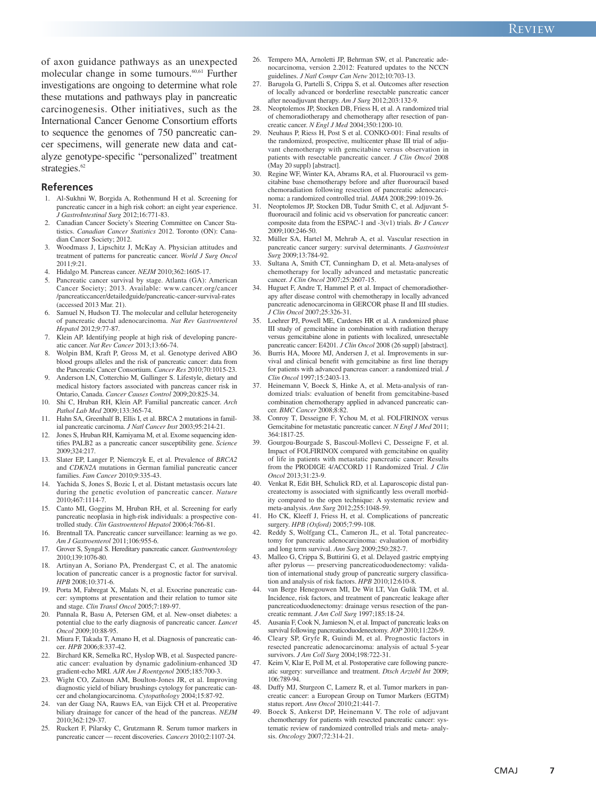of axon guidance pathways as an unexpected molecular change in some tumours. 60,61 Further investigations are ongoing to determine what role these mutations and pathways play in pancreatic carcinogenesis. Other initiatives, such as the International Cancer Genome Consortium efforts to sequence the genomes of 750 pancreatic cancer specimens, will generate new data and catalyze genotype-specific "personalized" treatment strategies. 62

#### **References**

- 1. Al-Sukhni W, Borgida A, Rothenmund H et al. Screening for pancreatic cancer in a high risk cohort: an eight year experience. *J GastroIntestinal Surg* 2012;16:771-83.
- 2. Canadian Cancer Society's Steering Committee on Cancer Statistics. *Canadian Cancer Statistics* 2012. Toronto (ON): Canadian Cancer Society; 2012.
- 3. Woodmass J, Lipschitz J, McKay A. Physician attitudes and treatment of patterns for pancreatic cancer. *World J Surg Oncol* 2011;9:21.
- 4. Hidalgo M. Pancreas cancer. *NEJM* 2010;362:1605-17.
- Pancreatic cancer survival by stage. Atlanta (GA): American Cancer Society; 2013. Available: www.cancer.org/cancer /pancreaticcancer/detailedguide/pancreatic-cancer-survival-rates (accessed 2013 Mar. 21).
- 6. Samuel N, Hudson TJ. The molecular and cellular heterogeneity of pancreatic ductal adenocarcinoma. *Nat Rev Gastroenterol Hepatol* 2012;9:77-87.
- 7. Klein AP. Identifying people at high risk of developing pancreatic cancer. *Nat Rev Cancer* 2013;13:66-74.
- 8. Wolpin BM, Kraft P, Gross M, et al. Genotype derived ABO blood groups alleles and the risk of pancreatic cancer: data from the Pancreatic Cancer Consortium. *Cancer Res* 2010;70:1015-23.
- 9. Anderson LN, Cotterchio M, Gallinger S. Lifestyle, dietary and medical history factors associated with pancreas cancer risk in Ontario, Canada. *Cancer Causes Control* 2009;20:825-34.
- 10. Shi C, Hruban RH, Klein AP. Familial pancreatic cancer. *Arch Pathol Lab Med* 2009;133:365-74.
- 11. Hahn SA, Greenhalf B, Ellis I, et al. BRCA 2 mutations in familial pancreatic carcinoma. *J Natl Cancer Inst* 2003;95:214-21.
- 12. Jones S, Hruban RH, Kamiyama M, et al. Exome sequencing identifies PALB2 as a pancreatic cancer susceptibility gene. *Science* 2009;324:217.
- 13. Slater EP, Langer P, Niemczyk E, et al. Prevalence of *BRCA2* and *CDKN2A* mutations in German familial pancreatic cancer families. *Fam Cancer* 2010;9:335-43.
- 14. Yachida S, Jones S, Bozic I, et al. Distant metastasis occurs late during the genetic evolution of pancreatic cancer. *Nature* 2010;467:1114-7.
- 15. Canto MI, Goggins M, Hruban RH, et al. Screening for early pancreatic neoplasia in high-risk individuals: a prospective controlled study. *Clin Gastroenterol Hepatol* 2006;4:766-81.
- 16. Brentnall TA. Pancreatic cancer surveillance: learning as we go. *Am J Gastroenterol* 2011;106:955-6.
- 17. Grover S, Syngal S. Hereditary pancreatic cancer. *Gastroenterology* 2010;139:1076-80.
- 18. Artinyan A, Soriano PA, Prendergast C, et al. The anatomic location of pancreatic cancer is a prognostic factor for survival. *HPB* 2008;10:371-6.
- 19. Porta M, Fabregat X, Malats N, et al. Exocrine pancreatic cancer: symptoms at presentation and their relation to tumor site and stage. *Clin Transl Oncol* 2005;7:189-97.
- 20. Pannala R, Basu A, Petersen GM, et al. New-onset diabetes: a potential clue to the early diagnosis of pancreatic cancer. *Lancet Oncol* 2009;10:88-95.
- 21. Miura F, Takada T, Amano H, et al. Diagnosis of pancreatic cancer. *HPB* 2006;8:337-42.
- 22. Birchard KR, Semelka RC, Hyslop WB, et al. Suspected pancreatic cancer: evaluation by dynamic gadolinium-enhanced 3D gradient-echo MRI. *AJR Am J Roentgenol* 2005;185:700-3.
- 23. Wight CO, Zaitoun AM, Boulton-Jones JR, et al. Improving diagnostic yield of biliary brushings cytology for pancreatic cancer and cholangiocarcinoma. *Cytopathology* 2004;15:87-92.
- 24. van der Gaag NA, Rauws EA, van Eijck CH et al. Preoperative biliary drainage for cancer of the head of the pancreas. *NEJM* 2010;362:129-37.
- 25. Ruckert F, Pilarsky C, Grutzmann R. Serum tumor markers in pancreatic cancer — recent discoveries. *Cancers* 2010;2:1107-24.
- 26. Tempero MA, Arnoletti JP, Behrman SW, et al. Pancreatic adenocarcinoma, version 2.2012: Featured updates to the NCCN guidelines. *J Natl Compr Can Netw* 2012;10:703-13.
- 27. Barugola G, Partelli S, Crippa S, et al. Outcomes after resection of locally advanced or borderline resectable pancreatic cancer after neoadjuvant therapy. *Am J Surg* 2012;203:132-9.
- 28. Neoptolemos JP, Stocken DB, Friess H, et al. A randomized trial of chemoradiotherapy and chemotherapy after resection of pancreatic cancer. *N Engl J Med* 2004;350:1200-10.
- Neuhaus P, Riess H, Post S et al. CONKO-001: Final results of the randomized, prospective, multicenter phase III trial of adjuvant chemotherapy with gemcitabine versus observation in patients with resectable pancreatic cancer. *J Clin Oncol* 2008 (May 20 suppl) [abstract].
- 30. Regine WF, Winter KA, Abrams RA, et al. Fluorouracil vs gemcitabine base chemotherapy before and after fluorouracil based chemoradiation following resection of pancreatic adenocarcinoma: a randomized controlled trial. *JAMA* 2008;299:1019-26.
- 31. Neoptolemos JP, Stocken DB, Tudur Smith C, et al. Adjuvant 5 fluorouracil and folinic acid vs observation for pancreatic cancer: composite data from the ESPAC-1 and -3(v1) trials. *Br J Cancer* 2009;100:246-50.
- 32. Müller SA, Hartel M, Mehrab A, et al. Vascular resection in pancreatic cancer surgery: survival determinants. *J Gastrointest Surg* 2009;13:784-92.
- Sultana A, Smith CT, Cunningham D, et al. Meta-analyses of chemotherapy for locally advanced and metastatic pancreatic cancer. *J Clin Oncol* 2007;25:2607-15.
- 34. Huguet F, Andre T, Hammel P, et al. Impact of chemoradiotherapy after disease control with chemotherapy in locally advanced pancreatic adenocarcinoma in GERCOR phase II and III studies. *J Clin Oncol* 2007;25:326-31.
- 35. Loehrer PJ, Powell ME, Cardenes HR et al. A randomized phase III study of gemcitabine in combination with radiation therapy versus gemcitabine alone in patients with localized, unresectable pancreatic cancer: E4201. *J Clin Oncol* 2008 (26 suppl) [abstract].
- Burris HA, Moore MJ, Andersen J, et al. Improvements in survival and clinical benefit with gemcitabine as first line therapy for patients with advanced pancreas cancer: a randomized trial. *J Clin Oncol* 1997;15:2403-13.
- 37. Heinemann V, Boeck S, Hinke A, et al. Meta-analysis of randomized trials: evaluation of benefit from gemcitabine-based combination chemotherapy applied in advanced pancreatic cancer. *BMC Cancer* 2008;8:82.
- 38. Conroy T, Desseigne F, Ychou M, et al. FOLFIRINOX versus Gemcitabine for metastatic pancreatic cancer. *N Engl J Med* 2011; 364:1817-25.
- 39. Gourgou-Bourgade S, Bascoul-Mollevi C, Desseigne F, et al. Impact of FOLFIRINOX compared with gemcitabine on quality of life in patients with metastatic pancreatic cancer: Results from the PRODIGE 4/ACCORD 11 Randomized Trial. *J Clin Oncol* 2013;31:23-9.
- Venkat R, Edit BH, Schulick RD, et al. Laparoscopic distal pancreatectomy is associated with significantly less overall morbidity compared to the open technique: A systematic review and meta-analysis. *Ann Surg* 2012;255:1048-59.
- 41. Ho CK, Kleeff J, Friess H, et al. Complications of pancreatic surgery. *HPB (Oxford)* 2005;7:99-108.
- 42. Reddy S, Wolfgang CL, Cameron JL, et al. Total pancreatectomy for pancreatic adenocarcinoma: evaluation of morbidity and long term survival. *Ann Surg* 2009;250:282-7.
- 43. Malleo G, Crippa S, Buttirini G, et al. Delayed gastric emptying after pylorus — preserving pancreaticoduodenectomy: validation of international study group of pancreatic surgery classification and analysis of risk factors. *HPB* 2010;12:610-8.
- van Berge Henegouwen MI, De Wit LT, Van Gulik TM, et al. Incidence, risk factors, and treatment of pancreatic leakage after pancreaticoduodenectomy: drainage versus resection of the pancreatic remnant. *J Am Coll Surg* 1997;185:18-24.
- Ausania F, Cook N, Jamieson N, et al. Impact of pancreatic leaks on survival following pancreaticoduodenectomy. *JOP* 2010;11:226-9.
- 46. Cleary SP, Gryfe R, Guindi M, et al. Prognostic factors in resected pancreatic adenocarcinoma: analysis of actual 5-year survivors. *J Am Coll Surg* 2004;198:722-31.
- 47. Keim V, Klar E, Poll M, et al. Postoperative care following pancreatic surgery: surveillance and treatment. *Dtsch Arztebl Int* 2009; 106:789-94.
- 48. Duffy MJ, Sturgeon C, Lamerz R, et al. Tumor markers in pancreatic cancer: a European Group on Tumor Markers (EGTM) status report. *Ann Oncol* 2010;21:441-7.
- 49. Boeck S, Ankerst DP, Heinemann V. The role of adjuvant chemotherapy for patients with resected pancreatic cancer: systematic review of randomized controlled trials and meta- analysis. *Oncology* 2007;72:314-21.